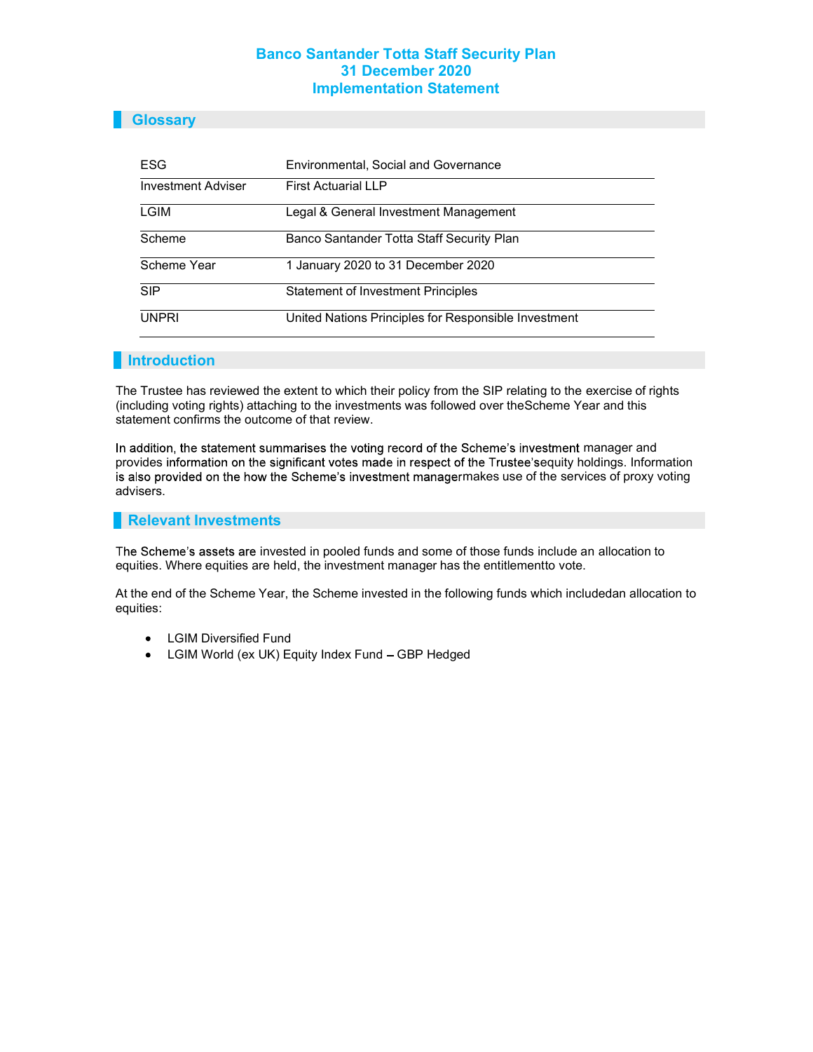### **Glossary**

| ESG                       | <b>Environmental, Social and Governance</b>          |  |  |
|---------------------------|------------------------------------------------------|--|--|
| <b>Investment Adviser</b> | <b>First Actuarial LLP</b>                           |  |  |
| LGIM                      | Legal & General Investment Management                |  |  |
| Scheme                    | Banco Santander Totta Staff Security Plan            |  |  |
| Scheme Year               | 1 January 2020 to 31 December 2020                   |  |  |
| <b>SIP</b>                | <b>Statement of Investment Principles</b>            |  |  |
| <b>UNPRI</b>              | United Nations Principles for Responsible Investment |  |  |

#### **Introduction**

The Trustee has reviewed the extent to which their policy from the SIP relating to the exercise of rights (including voting rights) attaching to the investments was followed over the Scheme Year and this statement confirms the outcome of that review.

In addition, the statement summarises the voting record of the Scheme's investment manager and provides information on the significant votes made in respect of the Trustee's equity holdings. Information is also provided on the how the Scheme's investment managermakes use of the services of proxy voting advisers.

#### Relevant Investments

The Scheme's assets are invested in pooled funds and some of those funds include an allocation to equities. Where equities are held, the investment manager has the entitlement to vote.

At the end of the Scheme Year, the Scheme invested in the following funds which included an allocation to equities:

- LGIM Diversified Fund
- $\bullet$ LGIM World (ex UK) Equity Index Fund - GBP Hedged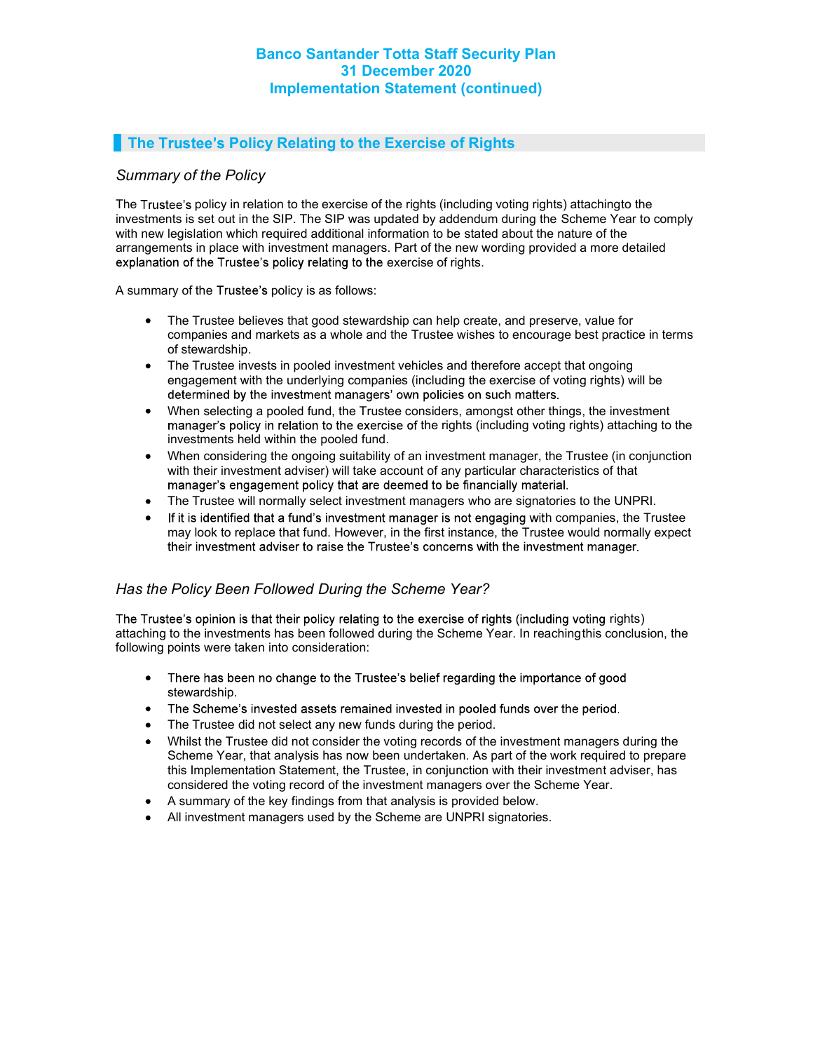# **The Trustee's Policy Relating to the Exercise of Rights**

### Summary of the Policy

The Trustee's policy in relation to the exercise of the rights (including voting rights) attaching to the investments is set out in the SIP. The SIP was updated by addendum during the Scheme Year to comply with new legislation which required additional information to be stated about the nature of the arrangements in place with investment managers. Part of the new wording provided a more detailed explanation of the Trustee's policy relating to the exercise of rights.

A summary of the Trustee's policy is as follows:

- The Trustee believes that good stewardship can help create, and preserve, value for  $\bullet$ companies and markets as a whole and the Trustee wishes to encourage best practice in terms of stewardship.
- The Trustee invests in pooled investment vehicles and therefore accept that ongoing  $\bullet$ engagement with the underlying companies (including the exercise of voting rights) will be determined by the investment managers' own policies on such matters.
- When selecting a pooled fund, the Trustee considers, amongst other things, the investment  $\bullet$ manager's policy in relation to the exercise of the rights (including voting rights) attaching to the investments held within the pooled fund.
- $\bullet$ When considering the ongoing suitability of an investment manager, the Trustee (in conjunction with their investment adviser) will take account of any particular characteristics of that manager's engagement policy that are deemed to be financially material.
- $\bullet$ The Trustee will normally select investment managers who are signatories to the UNPRI.
- If it is identified that a fund's investment manager is not engaging with companies, the Trustee may look to replace that fund. However, in the first instance, the Trustee would normally expect their investment adviser to raise the Trustee's concerns with the investment manager.

## Has the Policy Been Followed During the Scheme Year?

The Trustee's opinion is that their policy relating to the exercise of rights (including voting rights) attaching to the investments has been followed during the Scheme Year. In reaching this conclusion, the following points were taken into consideration:

- $\bullet$ There has been no change to the Trustee's belief regarding the importance of good stewardship.
- The Scheme's invested assets remained invested in pooled funds over the period.  $\bullet$
- The Trustee did not select any new funds during the period.  $\bullet$
- Whilst the Trustee did not consider the voting records of the investment managers during the  $\bullet$ Scheme Year, that analysis has now been undertaken. As part of the work required to prepare this Implementation Statement, the Trustee, in conjunction with their investment adviser, has considered the voting record of the investment managers over the Scheme Year.
- $\bullet$ A summary of the key findings from that analysis is provided below.
- All investment managers used by the Scheme are UNPRI signatories.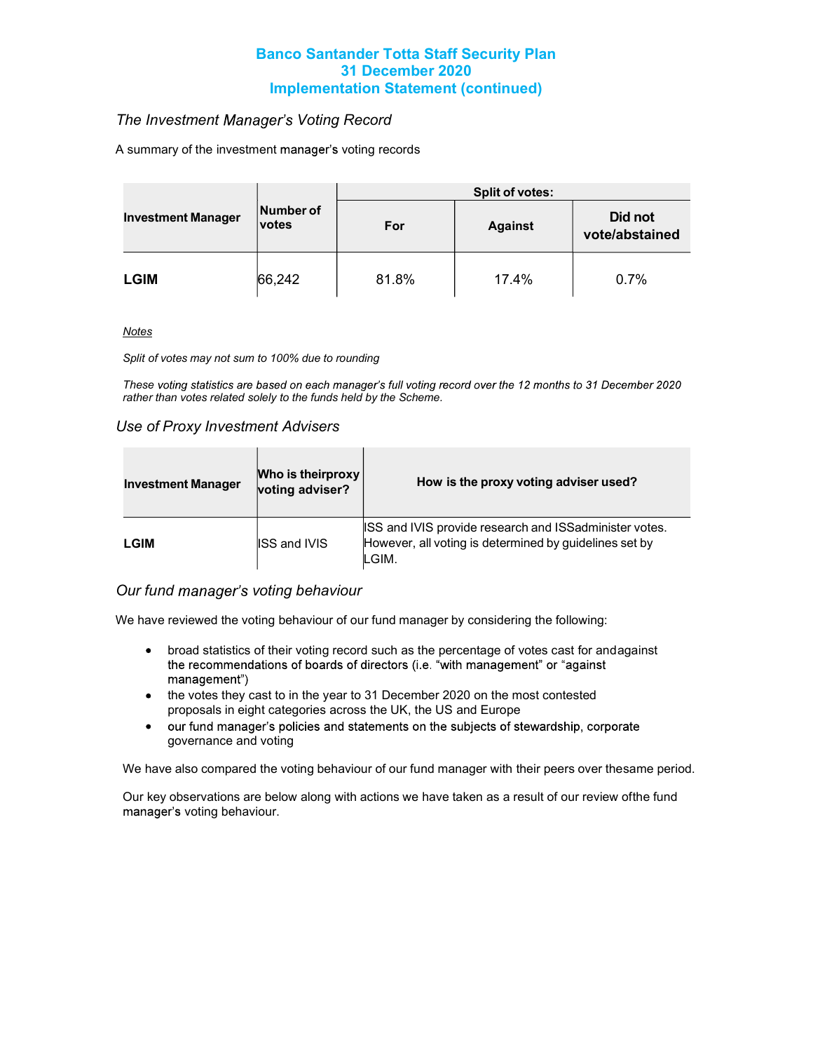## The Investment Manager's Voting Record

A summary of the investment manager's voting records

|                           | Number of<br>votes | <b>Split of votes:</b> |                |                           |  |
|---------------------------|--------------------|------------------------|----------------|---------------------------|--|
| <b>Investment Manager</b> |                    | For                    | <b>Against</b> | Did not<br>vote/abstained |  |
| <b>LGIM</b>               | 66,242             | 81.8%                  | 17.4%          | 0.7%                      |  |

**Notes** 

Split of votes may not sum to 100% due to rounding

These voting statistics are based on each manager's full voting record over the 12 months to 31 December 2020 rather than votes related solely to the funds held by the Scheme.

#### Use of Proxy Investment Advisers

| <b>Investment Manager</b> | Who is theirproxy<br>voting adviser? | How is the proxy voting adviser used?                                                                                            |  |  |  |
|---------------------------|--------------------------------------|----------------------------------------------------------------------------------------------------------------------------------|--|--|--|
| LGIM                      | <b>ISS and IVIS</b>                  | <b>ISS and IVIS provide research and ISSadminister votes.</b><br>However, all voting is determined by guidelines set by<br>LGIM. |  |  |  |

### Our fund manager's voting behaviour

We have reviewed the voting behaviour of our fund manager by considering the following:

- broad statistics of their voting record such as the percentage of votes cast for and against the recommendations of boards of directors (i.e. "with management" or "against management")
- the votes they cast to in the year to 31 December 2020 on the most contested proposals in eight categories across the UK, the US and Europe
- our fund manager's policies and statements on the subjects of stewardship, corporate  $\bullet$ governance and voting

We have also compared the voting behaviour of our fund manager with their peers over the same period.

Our key observations are below along with actions we have taken as a result of our review ofthe fund manager's voting behaviour.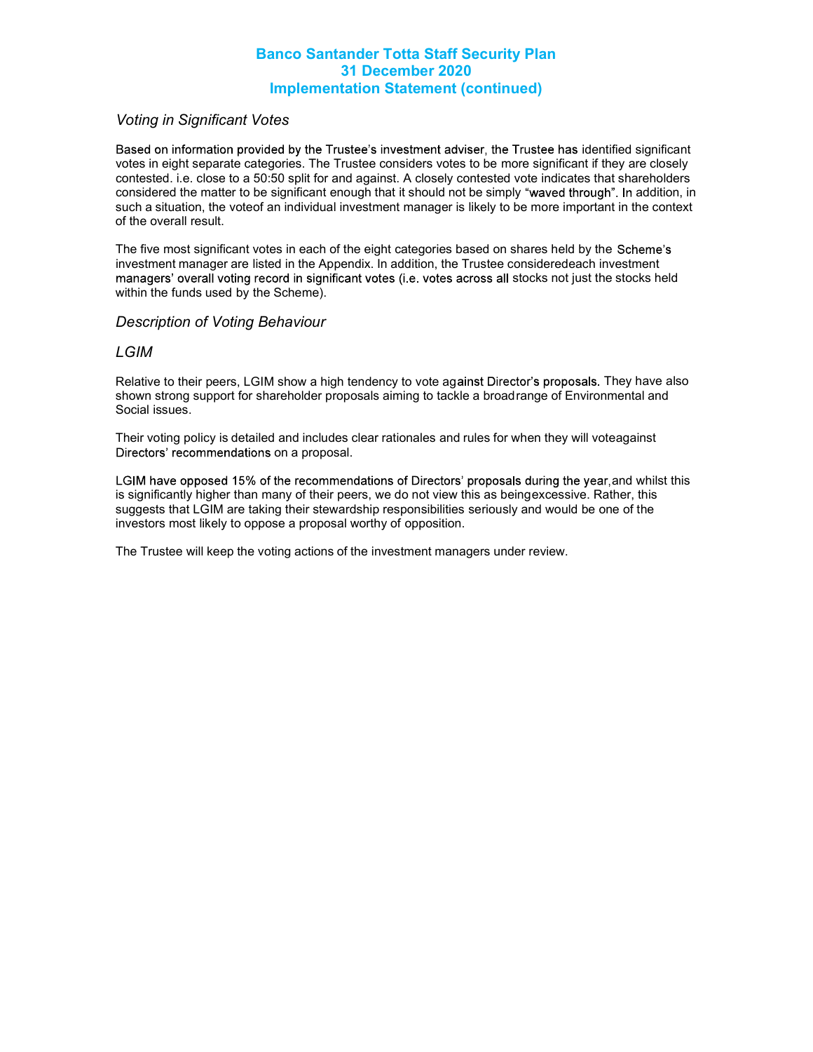### Voting in Significant Votes

Based on information provided by the Trustee's investment adviser, the Trustee has identified significant votes in eight separate categories. The Trustee considers votes to be more significant if they are closely contested. i.e. close to a 50:50 split for and against. A closely contested vote indicates that shareholders considered the matter to be significant enough that it should not be simply "waved through". In addition, in such a situation, the voteof an individual investment manager is likely to be more important in the context of the overall result.

The five most significant votes in each of the eight categories based on shares held by the Scheme's investment manager are listed in the Appendix. In addition, the Trustee consideredeach investment managers' overall voting record in significant votes (i.e. votes across all stocks not just the stocks held within the funds used by the Scheme).

#### Description of Voting Behaviour

#### LGIM

Relative to their peers, LGIM show a high tendency to vote against Director's proposals. They have also shown strong support for shareholder proposals aiming to tackle a broad range of Environmental and Social issues.

Their voting policy is detailed and includes clear rationales and rules for when they will vote against Directors' recommendations on a proposal.

LGIM have opposed 15% of the recommendations of Directors' proposals during the year, and whilst this is significantly higher than many of their peers, we do not view this as being excessive. Rather, this suggests that LGIM are taking their stewardship responsibilities seriously and would be one of the investors most likely to oppose a proposal worthy of opposition.

The Trustee will keep the voting actions of the investment managers under review.